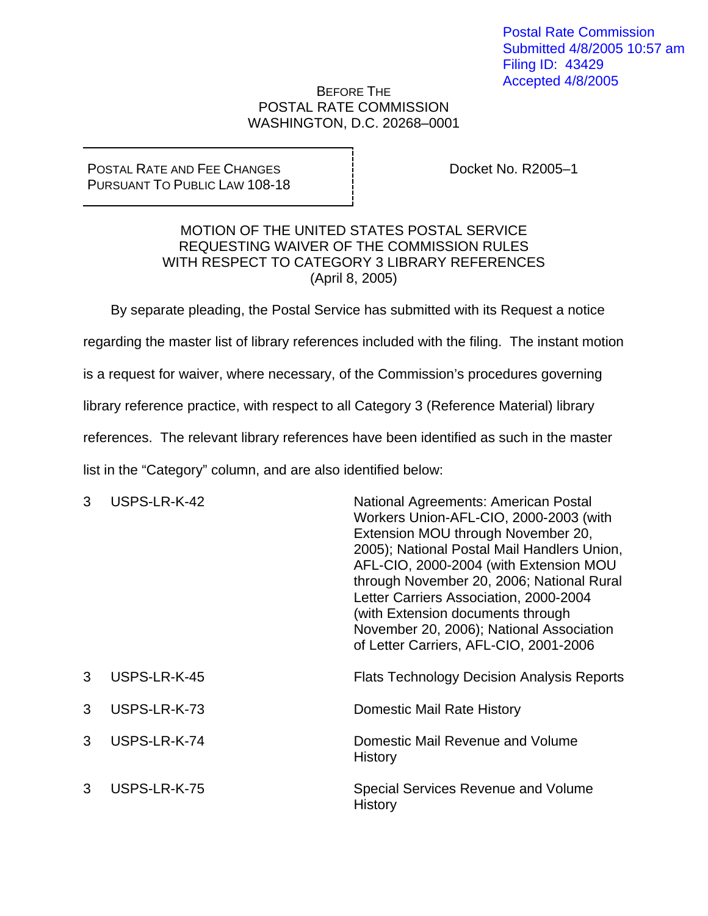## BEFORE THE POSTAL RATE COMMISSION WASHINGTON, D.C. 20268–0001

## POSTAL RATE AND FEE CHANGES PURSUANT TO PUBLIC LAW 108-18

Docket No. R2005–1

## MOTION OF THE UNITED STATES POSTAL SERVICE REQUESTING WAIVER OF THE COMMISSION RULES WITH RESPECT TO CATEGORY 3 LIBRARY REFERENCES (April 8, 2005)

By separate pleading, the Postal Service has submitted with its Request a notice regarding the master list of library references included with the filing. The instant motion is a request for waiver, where necessary, of the Commission's procedures governing library reference practice, with respect to all Category 3 (Reference Material) library references. The relevant library references have been identified as such in the master list in the "Category" column, and are also identified below:

| 3 | USPS-LR-K-42 | National Agreements: American Postal<br>Workers Union-AFL-CIO, 2000-2003 (with<br>Extension MOU through November 20,<br>2005); National Postal Mail Handlers Union,<br>AFL-CIO, 2000-2004 (with Extension MOU<br>through November 20, 2006; National Rural<br>Letter Carriers Association, 2000-2004<br>(with Extension documents through<br>November 20, 2006); National Association<br>of Letter Carriers, AFL-CIO, 2001-2006 |
|---|--------------|---------------------------------------------------------------------------------------------------------------------------------------------------------------------------------------------------------------------------------------------------------------------------------------------------------------------------------------------------------------------------------------------------------------------------------|
| 3 | USPS-LR-K-45 | <b>Flats Technology Decision Analysis Reports</b>                                                                                                                                                                                                                                                                                                                                                                               |
| 3 | USPS-LR-K-73 | Domestic Mail Rate History                                                                                                                                                                                                                                                                                                                                                                                                      |
| 3 | USPS-LR-K-74 | Domestic Mail Revenue and Volume<br>History                                                                                                                                                                                                                                                                                                                                                                                     |
| 3 | USPS-LR-K-75 | Special Services Revenue and Volume<br><b>History</b>                                                                                                                                                                                                                                                                                                                                                                           |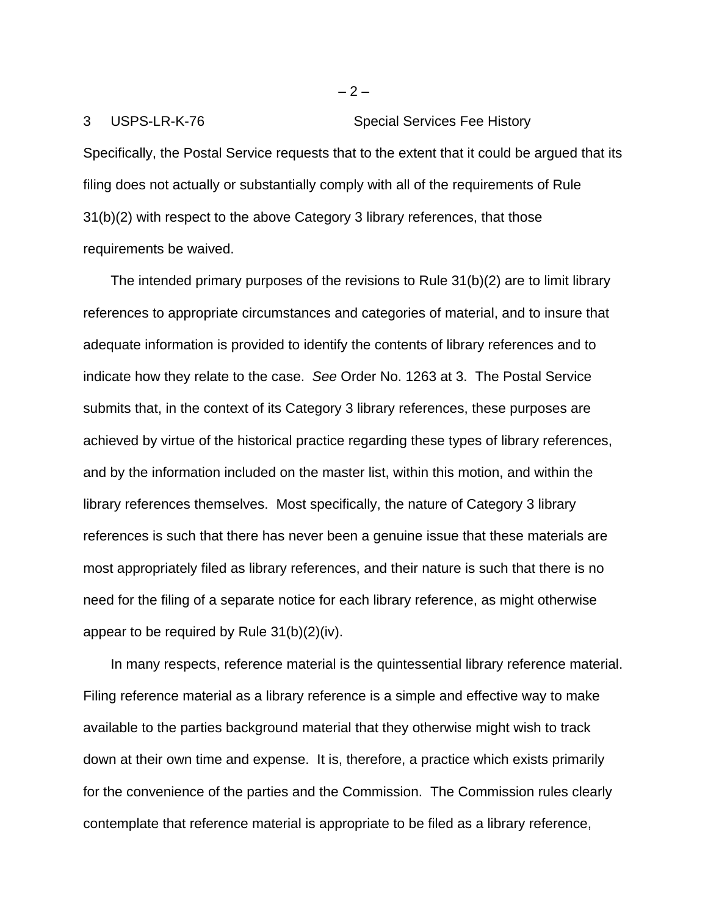3 USPS-LR-K-76 Special Services Fee History Specifically, the Postal Service requests that to the extent that it could be argued that its filing does not actually or substantially comply with all of the requirements of Rule 31(b)(2) with respect to the above Category 3 library references, that those requirements be waived.

The intended primary purposes of the revisions to Rule 31(b)(2) are to limit library references to appropriate circumstances and categories of material, and to insure that adequate information is provided to identify the contents of library references and to indicate how they relate to the case. *See* Order No. 1263 at 3. The Postal Service submits that, in the context of its Category 3 library references, these purposes are achieved by virtue of the historical practice regarding these types of library references, and by the information included on the master list, within this motion, and within the library references themselves. Most specifically, the nature of Category 3 library references is such that there has never been a genuine issue that these materials are most appropriately filed as library references, and their nature is such that there is no need for the filing of a separate notice for each library reference, as might otherwise appear to be required by Rule 31(b)(2)(iv).

In many respects, reference material is the quintessential library reference material. Filing reference material as a library reference is a simple and effective way to make available to the parties background material that they otherwise might wish to track down at their own time and expense. It is, therefore, a practice which exists primarily for the convenience of the parties and the Commission. The Commission rules clearly contemplate that reference material is appropriate to be filed as a library reference,

 $-2-$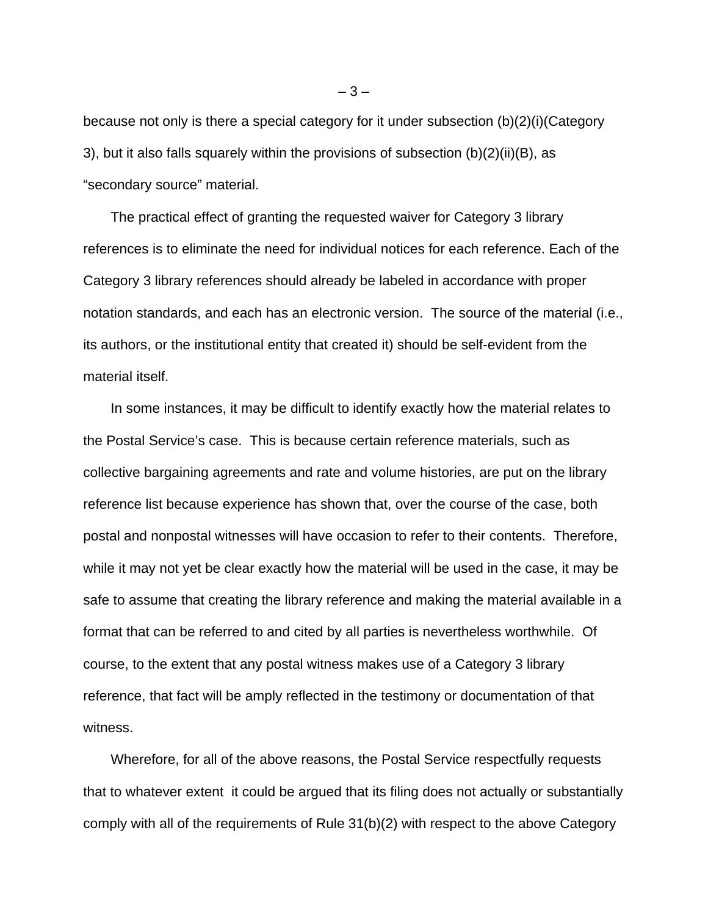because not only is there a special category for it under subsection (b)(2)(i)(Category 3), but it also falls squarely within the provisions of subsection (b)(2)(ii)(B), as "secondary source" material.

The practical effect of granting the requested waiver for Category 3 library references is to eliminate the need for individual notices for each reference. Each of the Category 3 library references should already be labeled in accordance with proper notation standards, and each has an electronic version. The source of the material (i.e., its authors, or the institutional entity that created it) should be self-evident from the material itself.

In some instances, it may be difficult to identify exactly how the material relates to the Postal Service's case. This is because certain reference materials, such as collective bargaining agreements and rate and volume histories, are put on the library reference list because experience has shown that, over the course of the case, both postal and nonpostal witnesses will have occasion to refer to their contents. Therefore, while it may not yet be clear exactly how the material will be used in the case, it may be safe to assume that creating the library reference and making the material available in a format that can be referred to and cited by all parties is nevertheless worthwhile. Of course, to the extent that any postal witness makes use of a Category 3 library reference, that fact will be amply reflected in the testimony or documentation of that witness.

Wherefore, for all of the above reasons, the Postal Service respectfully requests that to whatever extent it could be argued that its filing does not actually or substantially comply with all of the requirements of Rule 31(b)(2) with respect to the above Category

 $-3-$